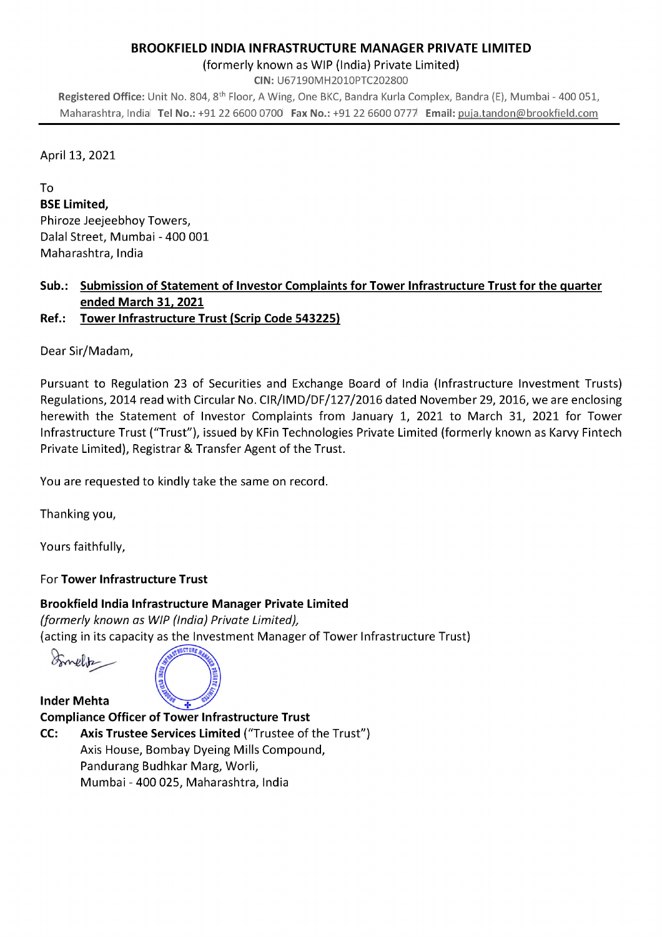#### BROOKFIELD INDIA INFRASTRUCTURE MANAGER PRIVATE LIMITED

(formerly known as WIP (India) Private Limited)

CIN: U67190MH2010PTC202800

Registered Office: Unit No. 804, 8<sup>th</sup> Floor, A Wing, One BKC, Bandra Kurla Complex, Bandra (E), Mumbai - 400 051, Maharashtra, Indial Tel No.: +91 22 6600 0700 Fax No.: +91 22 6600 0777 Email: puja.tandon@brookfield.com

#### April 13, 2021

To

BSE Limited, Phiroze Jeejeebhoy Towers, Dalai Street, Mumbai - 400 001 Maharashtra, India

## Sub.: Submission of Statement of Investor Complaints for Tower Infrastructure Trust for the quarter ended March 31, 2021

# Ref.: Tower Infrastructure Trust (Scrip Code 543225)

Dear Sir/Madam,

Pursuant to Regulation 23 of Securities and Exchange Board of India (Infrastructure Investment Trusts) Regulations, 2014 read with Circular No. CIR/IMD/DF/127/2016 dated November 29, 2016, we are enclosing herewith the Statement of Investor Complaints from January 1, 2021 to March 31, 2021 for Tower Infrastructure Trust ("Trust"), issued by KFin Technologies Private Limited (formerly known as Karvy Fintech Private Limited), Registrar & Transfer Agent of the Trust.

You are requested to kindly take the same on record.

Thanking you,

Yours faithfully,

## For Tower Infrastructure Trust

## Brookfield India Infrastructure Manager Private Limited

(formerly known as WIP (India) Private Limited), (acting in its capacity as the Investment Manager of Tower Infrastructure Trust)

Somelitz

Inder Mehta



Compliance Officer of Tower Infrastructure Trust CC: Axis Trustee Services Limited ("Trustee of the Trust") Axis House, Bombay Dyeing Mills Compound, Pandurang Budhkar Marg, Worli, Mumbai - 400 025, Maharashtra, India